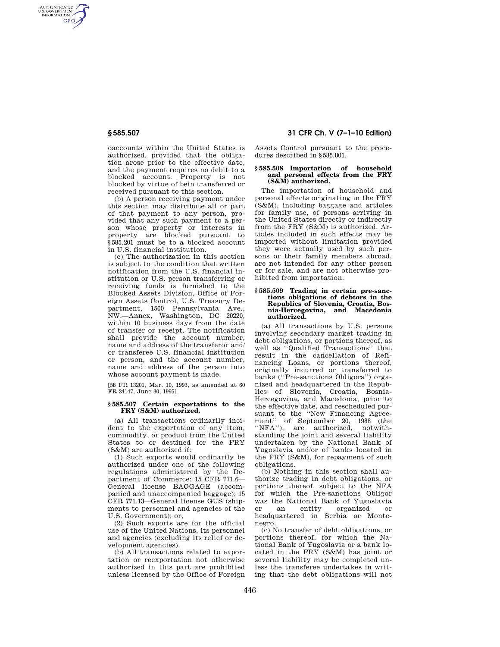AUTHENTICATED<br>U.S. GOVERNMENT<br>INFORMATION **GPO** 

> oaccounts within the United States is authorized, provided that the obligation arose prior to the effective date, and the payment requires no debit to a blocked account. Property is not blocked by virtue of bein transferred or received pursuant to this section.

> (b) A person receiving payment under this section may distribute all or part of that payment to any person, provided that any such payment to a person whose property or interests in property are blocked pursuant to §585.201 must be to a blocked account in U.S. financial institution.

> (c) The authorization in this section is subject to the condition that written notification from the U.S. financial institution or U.S. person transferring or receiving funds is furnished to the Blocked Assets Division, Office of Foreign Assets Control, U.S. Treasury Department, 1500 Pennsylvania Ave., NW.—Annex, Washington, DC 20220, within 10 business days from the date of transfer or receipt. The notification shall provide the account number, name and address of the transferor and/ or transferee U.S. financial institution or person, and the account number, name and address of the person into whose account payment is made.

[58 FR 13201, Mar. 10, 1993, as amended at 60 FR 34147, June 30, 1995]

## **§ 585.507 Certain exportations to the FRY (S&M) authorized.**

(a) All transactions ordinarily incident to the exportation of any item, commodity, or product from the United States to or destined for the FRY (S&M) are authorized if:

(1) Such exports would ordinarily be authorized under one of the following regulations administered by the Department of Commerce: 15 CFR 771.6— General license BAGGAGE (accompanied and unaccompanied baggage); 15 CFR 771.13—General license GUS (shipments to personnel and agencies of the U.S. Government); or,

(2) Such exports are for the official use of the United Nations, its personnel and agencies (excluding its relief or development agencies).

(b) All transactions related to exportation or reexportation not otherwise authorized in this part are prohibited unless licensed by the Office of Foreign

# **§ 585.507 31 CFR Ch. V (7–1–10 Edition)**

Assets Control pursuant to the procedures described in §585.801.

### **§ 585.508 Importation of household and personal effects from the FRY (S&M) authorized.**

The importation of household and personal effects originating in the FRY (S&M), including baggage and articles for family use, of persons arriving in the United States directly or indirectly from the FRY (S&M) is authorized. Articles included in such effects may be imported without limitation provided they were actually used by such persons or their family members abroad, are not intended for any other person or for sale, and are not otherwise prohibited from importation.

### **§ 585.509 Trading in certain pre-sanctions obligations of debtors in the Republics of Slovenia, Croatia, Bosnia-Hercegovina, and Macedonia authorized.**

(a) All transactions by U.S. persons involving secondary market trading in debt obligations, or portions thereof, as well as ''Qualified Transactions'' that result in the cancellation of Refinancing Loans, or portions thereof, originally incurred or transferred to banks (''Pre-sanctions Obligors'') organized and headquartered in the Republics of Slovenia, Croatia, Bosnia-Hercegovina, and Macedonia, prior to the effective date, and rescheduled pursuant to the ''New Financing Agreement'' of September 20, 1988 (the ''NFA''), are authorized, notwithstanding the joint and several liability undertaken by the National Bank of Yugoslavia and/or of banks located in the FRY (S&M), for repayment of such obligations.

(b) Nothing in this section shall authorize trading in debt obligations, or portions thereof, subject to the NFA for which the Pre-sanctions Obligor was the National Bank of Yugoslavia or an entity organized or headquartered in Serbia or Montenegro.

(c) No transfer of debt obligations, or portions thereof, for which the National Bank of Yugoslavia or a bank located in the  $FRY$  (S&M) has joint or several liability may be completed unless the transferee undertakes in writing that the debt obligations will not